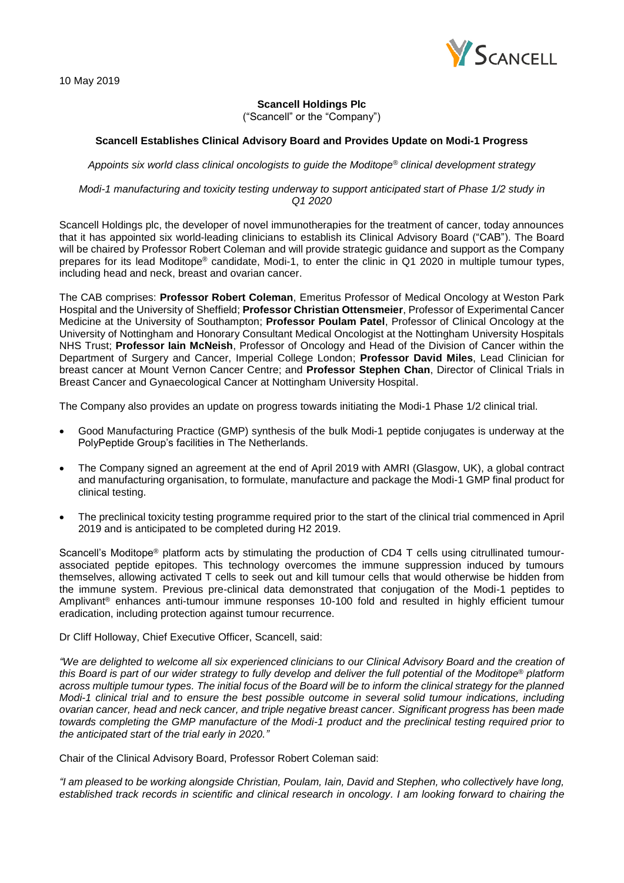

# **Scancell Holdings Plc** ("Scancell" or the "Company")

# **Scancell Establishes Clinical Advisory Board and Provides Update on Modi-1 Progress**

*Appoints six world class clinical oncologists to guide the Moditope® clinical development strategy*

*Modi-1 manufacturing and toxicity testing underway to support anticipated start of Phase 1/2 study in Q1 2020*

Scancell Holdings plc, the developer of novel immunotherapies for the treatment of cancer, today announces that it has appointed six world-leading clinicians to establish its Clinical Advisory Board ("CAB"). The Board will be chaired by Professor Robert Coleman and will provide strategic guidance and support as the Company prepares for its lead Moditope® candidate, Modi-1, to enter the clinic in Q1 2020 in multiple tumour types, including head and neck, breast and ovarian cancer.

The CAB comprises: **Professor Robert Coleman**, Emeritus Professor of Medical Oncology at Weston Park Hospital and the University of Sheffield; **Professor Christian Ottensmeier**, Professor of Experimental Cancer Medicine at the University of Southampton; **Professor Poulam Patel**, Professor of Clinical Oncology at the University of Nottingham and Honorary Consultant Medical Oncologist at the Nottingham University Hospitals NHS Trust; **Professor Iain McNeish**, Professor of Oncology and Head of the Division of Cancer within the Department of Surgery and Cancer, Imperial College London; **Professor David Miles**, Lead Clinician for breast cancer at Mount Vernon Cancer Centre; and **Professor Stephen Chan**, Director of Clinical Trials in Breast Cancer and Gynaecological Cancer at Nottingham University Hospital.

The Company also provides an update on progress towards initiating the Modi-1 Phase 1/2 clinical trial.

- Good Manufacturing Practice (GMP) synthesis of the bulk Modi-1 peptide conjugates is underway at the PolyPeptide Group's facilities in The Netherlands.
- The Company signed an agreement at the end of April 2019 with AMRI (Glasgow, UK), a global contract and manufacturing organisation, to formulate, manufacture and package the Modi-1 GMP final product for clinical testing.
- The preclinical toxicity testing programme required prior to the start of the clinical trial commenced in April 2019 and is anticipated to be completed during H2 2019.

Scancell's Moditope<sup>®</sup> platform acts by stimulating the production of CD4 T cells using citrullinated tumourassociated peptide epitopes. This technology overcomes the immune suppression induced by tumours themselves, allowing activated T cells to seek out and kill tumour cells that would otherwise be hidden from the immune system. Previous pre-clinical data demonstrated that conjugation of the Modi-1 peptides to Amplivant® enhances anti-tumour immune responses 10-100 fold and resulted in highly efficient tumour eradication, including protection against tumour recurrence.

Dr Cliff Holloway, Chief Executive Officer, Scancell, said:

*"We are delighted to welcome all six experienced clinicians to our Clinical Advisory Board and the creation of this Board is part of our wider strategy to fully develop and deliver the full potential of the Moditope® platform across multiple tumour types. The initial focus of the Board will be to inform the clinical strategy for the planned Modi-1 clinical trial and to ensure the best possible outcome in several solid tumour indications, including ovarian cancer, head and neck cancer, and triple negative breast cancer. Significant progress has been made towards completing the GMP manufacture of the Modi-1 product and the preclinical testing required prior to the anticipated start of the trial early in 2020."*

Chair of the Clinical Advisory Board, Professor Robert Coleman said:

*"I am pleased to be working alongside Christian, Poulam, Iain, David and Stephen, who collectively have long, established track records in scientific and clinical research in oncology. I am looking forward to chairing the*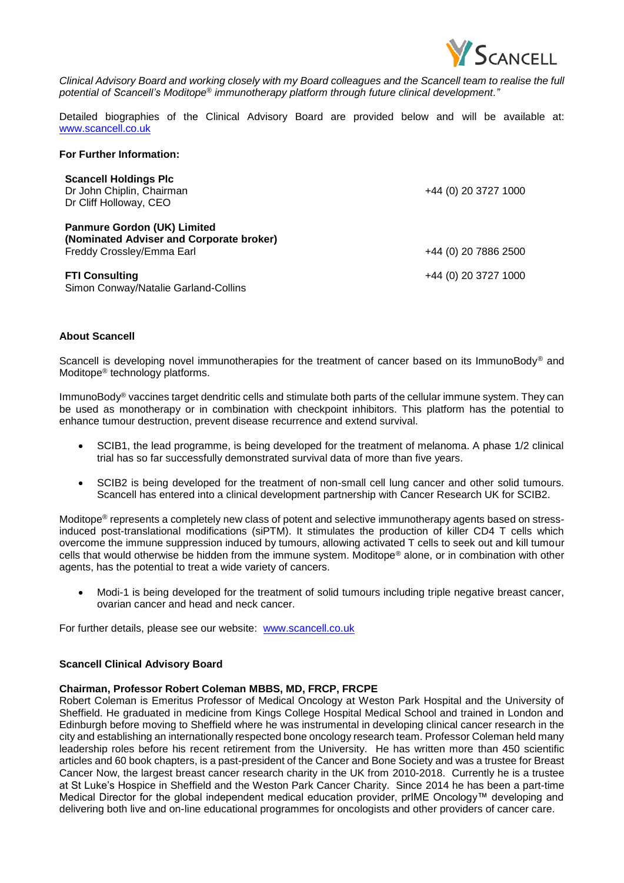

*Clinical Advisory Board and working closely with my Board colleagues and the Scancell team to realise the full potential of Scancell's Moditope® immunotherapy platform through future clinical development."*

Detailed biographies of the Clinical Advisory Board are provided below and will be available at: [www.scancell.co.uk](http://www.scancell.co.uk/)

## **For Further Information:**

| <b>Scancell Holdings Plc</b><br>Dr John Chiplin, Chairman<br>Dr Cliff Holloway, CEO                         | +44 (0) 20 3727 1000 |
|-------------------------------------------------------------------------------------------------------------|----------------------|
| <b>Panmure Gordon (UK) Limited</b><br>(Nominated Adviser and Corporate broker)<br>Freddy Crossley/Emma Earl | +44 (0) 20 7886 2500 |
| <b>FTI Consulting</b><br>Simon Conway/Natalie Garland-Collins                                               | +44 (0) 20 3727 1000 |

### **About Scancell**

Scancell is developing novel immunotherapies for the treatment of cancer based on its ImmunoBody® and Moditope® technology platforms.

ImmunoBody® vaccines target dendritic cells and stimulate both parts of the cellular immune system. They can be used as monotherapy or in combination with checkpoint inhibitors. This platform has the potential to enhance tumour destruction, prevent disease recurrence and extend survival.

- SCIB1, the lead programme, is being developed for the treatment of melanoma. A phase 1/2 clinical trial has so far successfully demonstrated survival data of more than five years.
- SCIB2 is being developed for the treatment of non-small cell lung cancer and other solid tumours. Scancell has entered into a clinical development partnership with Cancer Research UK for SCIB2.

Moditope® represents a completely new class of potent and selective immunotherapy agents based on stressinduced post-translational modifications (siPTM). It stimulates the production of killer CD4 T cells which overcome the immune suppression induced by tumours, allowing activated T cells to seek out and kill tumour cells that would otherwise be hidden from the immune system. Moditope® alone, or in combination with other agents, has the potential to treat a wide variety of cancers.

• Modi-1 is being developed for the treatment of solid tumours including triple negative breast cancer, ovarian cancer and head and neck cancer.

For further details, please see our website: [www.scancell.co.uk](http://www.scancell.co.uk/)

### **Scancell Clinical Advisory Board**

### **Chairman, Professor Robert Coleman MBBS, MD, FRCP, FRCPE**

Robert Coleman is Emeritus Professor of Medical Oncology at Weston Park Hospital and the University of Sheffield. He graduated in medicine from Kings College Hospital Medical School and trained in London and Edinburgh before moving to Sheffield where he was instrumental in developing clinical cancer research in the city and establishing an internationally respected bone oncology research team. Professor Coleman held many leadership roles before his recent retirement from the University. He has written more than 450 scientific articles and 60 book chapters, is a past-president of the Cancer and Bone Society and was a trustee for Breast Cancer Now, the largest breast cancer research charity in the UK from 2010-2018. Currently he is a trustee at St Luke's Hospice in Sheffield and the Weston Park Cancer Charity. Since 2014 he has been a part-time Medical Director for the global independent medical education provider, prIME Oncology™ developing and delivering both live and on-line educational programmes for oncologists and other providers of cancer care.